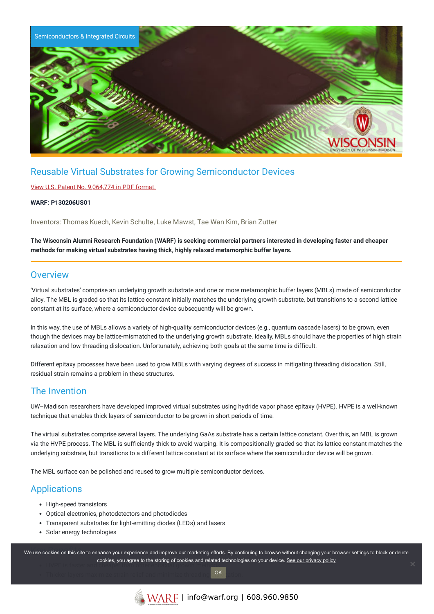

# Reusable Virtual Substrates for Growing Semiconductor Devices

### View U.S. Patent No. [9,064,774](https://www.warf.org/wp-content/uploads/technologies/ipstatus/P130206US01.pdf) in PDF format.

#### **WARF: P130206US01**

Inventors: Thomas Kuech, Kevin Schulte, Luke Mawst, Tae Wan Kim, Brian Zutter

The Wisconsin Alumni Research Foundation (WARF) is seeking commercial partners interested in developing faster and cheaper **methods for making virtual substrates having thick, highly relaxed metamorphic buffer layers.**

### **Overview**

'Virtual substrates' comprise an underlying growth substrate and one or more metamorphic buffer layers (MBLs) made of semiconductor alloy. The MBL is graded so that its lattice constant initially matches the underlying growth substrate, but transitions to a second lattice constant at its surface, where a semiconductor device subsequently will be grown.

In this way, the use of MBLs allows a variety of high-quality semiconductor devices (e.g., quantum cascade lasers) to be grown, even though the devices may be lattice-mismatched to the underlying growth substrate. Ideally, MBLs should have the properties of high strain relaxation and low threading dislocation. Unfortunately, achieving both goals at the same time is difficult.

Different epitaxy processes have been used to grow MBLs with varying degrees of success in mitigating threading dislocation. Still, residual strain remains a problem in these structures.

## The Invention

UW–Madison researchers have developed improved virtual substrates using hydride vapor phase epitaxy (HVPE). HVPE is a well-known technique that enables thick layers of semiconductor to be grown in short periods of time.

The virtual substrates comprise several layers. The underlying GaAs substrate has a certain lattice constant. Over this, an MBL is grown via the HVPE process. The MBL is sufficiently thick to avoid warping. It is compositionally graded so that its lattice constant matches the underlying substrate, but transitions to a different lattice constant at its surface where the semiconductor device will be grown.

The MBL surface can be polished and reused to grow multiple semiconductor devices.

## **Applications**

- High-speed transistors
- Optical electronics, photodetectors and photodiodes
- Transparent substrates for light-emitting diodes (LEDs) and lasers
- Solar energy technologies

we use cookies on this site to enhance your experience and improve our marketing efforts. By continuing to browse without changing your browser settings to block or delete HVPE is faster and cheaper than other epitaxial growth methods. cookies, you agree to the storing of cookies and related technologies on your device. [See our privacy policy](https://www.warf.org/privacy-policy/)